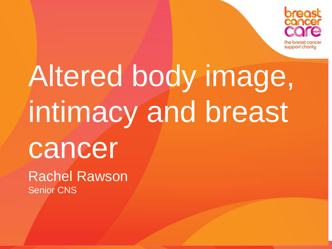

# Altered body image, intimacy and breast cancer

Rachel Rawson Senior CNS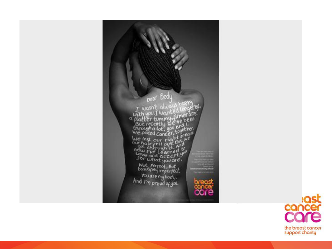

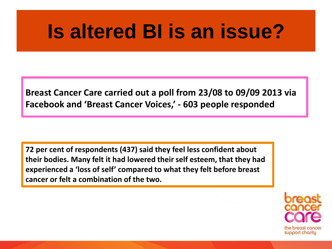## **Is altered BI is an issue?**

**Breast Cancer Care carried out a poll from 23/08 to 09/09 2013 via Facebook and 'Breast Cancer Voices,' - 603 people responded**

**72 per cent of respondents (437) said they feel less confident about their bodies. Many felt it had lowered their self esteem, that they had experienced a 'loss of self' compared to what they felt before breast cancer or felt a combination of the two.** 

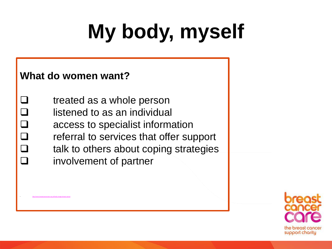# **My body, myself**

#### **What do women want?**

• <http://www.breastcancercare.org.uk/body-image-breast-cancer>

 $\Box$  treated as a whole person  $\Box$  listened to as an individual  $\Box$  access to specialist information  $\Box$  referral to services that offer support  $\Box$  talk to others about coping strategies **Q** involvement of partner

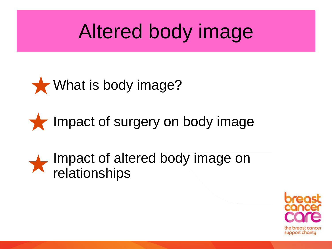## Altered body image





### Impact of altered body image on relationships

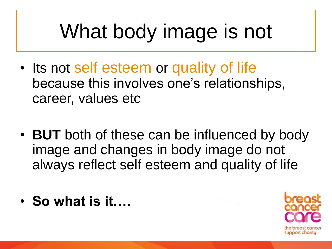# What body image is not

- Its not self esteem or quality of life because this involves one's relationships, career, values etc
- **BUT** both of these can be influenced by body image and changes in body image do not always reflect self esteem and quality of life
- **So what is it….**

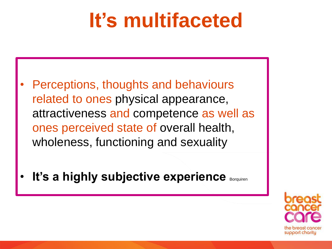# **It's multifaceted**

- Perceptions, thoughts and behaviours related to ones physical appearance, attractiveness and competence as well as ones perceived state of overall health, wholeness, functioning and sexuality
- It's a highly subjective experience **Borquiren**

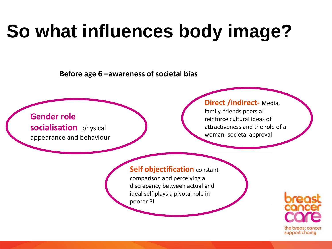# **So what influences body image?**

**Before age 6 –awareness of societal bias**

#### **Gender role socialisation** physical appearance and behaviour

#### **Direct /indirect-** Media,

family, friends peers all reinforce cultural ideas of attractiveness and the role of a woman -societal approval

#### **Self objectification** constant

comparison and perceiving a discrepancy between actual and ideal self plays a pivotal role in poorer BI

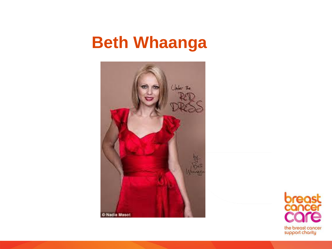### **Beth Whaanga**



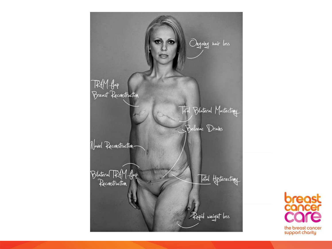

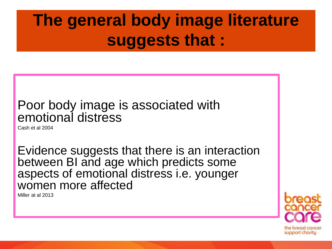### **The general body image literature suggests that :**

### Poor body image is associated with emotional distress

Cash et al 2004

Evidence suggests that there is an interaction between BI and age which predicts some aspects of emotional distress i.e. younger women more affected

Miller at al 2013

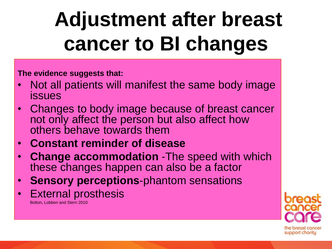# **Adjustment after breast cancer to BI changes**

**The evidence suggests that:**

- Not all patients will manifest the same body image issues
- Changes to body image because of breast cancer not only affect the person but also affect how others behave towards them
- **Constant reminder of disease**
- **Change accommodation** -The speed with which these changes happen can also be a factor
- **Sensory perceptions**-phantom sensations
- **External prosthesis**

Bolton, Lobben and Stern 2010

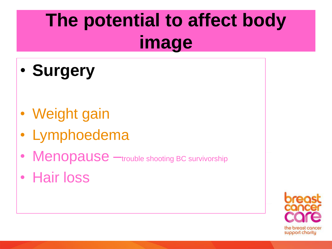## **The potential to affect body image**

- **Surgery**
- Weight gain
- Lymphoedema
- Menopause —trouble shooting BC survivorship
- Hair loss

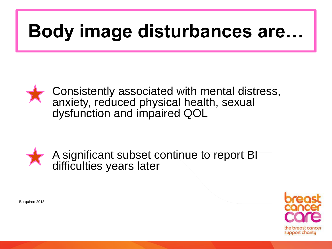## **Body image disturbances are…**







Borquiren 2013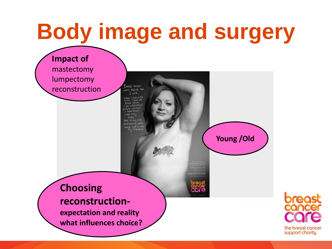# **Body image and surgery**

**Impact of**  mastectomy lumpectomy reconstruction

T will. when I look in the doct: 38 a beautiou

Breast concer ont derive me

**Young /Old** 

#### **Choosing reconstruction-**

**expectation and reality what influences choice?** 

the breast cancer support charity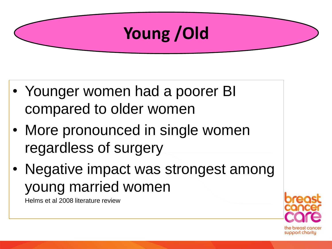### **Young /Old**

- Younger women had a poorer BI compared to older women
- More pronounced in single women regardless of surgery
- Negative impact was strongest among young married women

Helms et al 2008 literature review

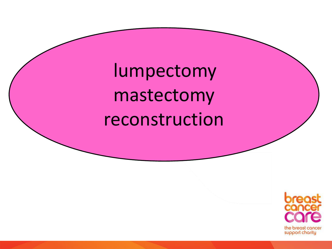lumpectomy mastectomy reconstruction

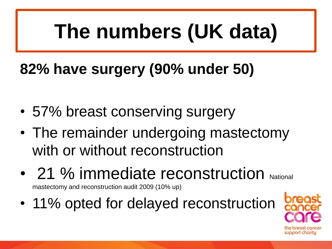# **The numbers (UK data)**

### **82% have surgery (90% under 50)**

- 57% breast conserving surgery
- The remainder undergoing mastectomy with or without reconstruction
- 21 % immediate reconstruction National

mastectomy and reconstruction audit 2009 (10% up)

• 11% opted for delayed reconstruction

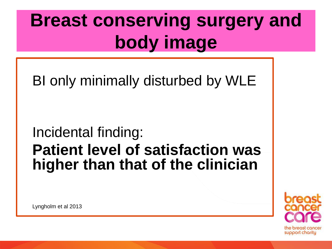## **Breast conserving surgery and body image**

BI only minimally disturbed by WLE

Incidental finding:

### **Patient level of satisfaction was higher than that of the clinician**

support charity

Lyngholm et al 2013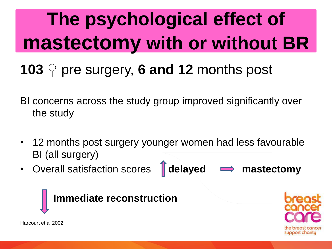# **The psychological effect of mastectomy with or without BR**

### **103** ♀ pre surgery, **6 and 12** months post

- BI concerns across the study group improved significantly over the study
- 12 months post surgery younger women had less favourable BI (all surgery)
- Overall satisfaction scores **delayed**  $\implies$  **mastectomy**



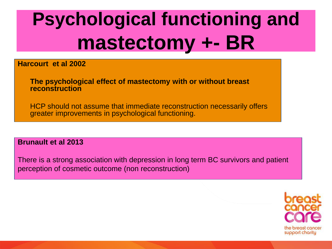# **Psychological functioning and mastectomy +- BR**

**Harcourt et al 2002** 

**The psychological effect of mastectomy with or without breast reconstruction** 

HCP should not assume that immediate reconstruction necessarily offers greater improvements in psychological functioning.

**Brunault et al 2013** 

There is a strong association with depression in long term BC survivors and patient perception of cosmetic outcome (non reconstruction)

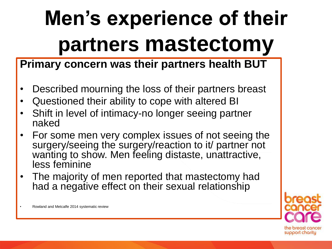# **Men's experience of their partners mastectomy**

### **Primary concern was their partners health BUT**

- Described mourning the loss of their partners breast
- Questioned their ability to cope with altered BI
- Shift in level of intimacy-no longer seeing partner naked
- For some men very complex issues of not seeing the surgery/seeing the surgery/reaction to it/ partner not wanting to show. Men feeling distaste, unattractive, less feminine
- The majority of men reported that mastectomy had had a negative effect on their sexual relationship

• Rowland and Metcalfe 2014 systematic review

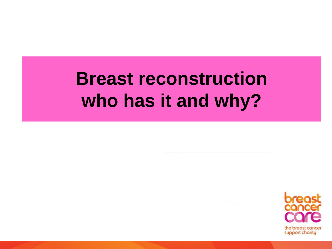## **Breast reconstruction who has it and why?**

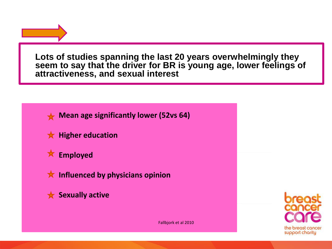**Lots of studies spanning the last 20 years overwhelmingly they seem to say that the driver for BR is young age, lower feelings of attractiveness, and sexual interest**



**Mean age significantly lower (52vs 64)**

**K** Higher education



**K** Influenced by physicians opinion

**Sexually active** 

the breast cancer support charity

Fallbjork et al 2010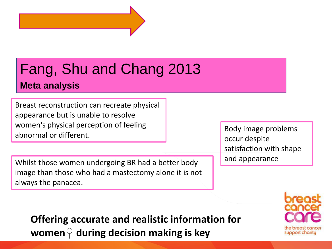

### Fang, Shu and Chang 2013

#### **Meta analysis**

Breast reconstruction can recreate physical appearance but is unable to resolve women's physical perception of feeling abnormal or different.

Whilst those women undergoing BR had a better body image than those who had a mastectomy alone it is not always the panacea.

Body image problems occur despite satisfaction with shape and appearance

**Offering accurate and realistic information for women♀ during decision making is key**

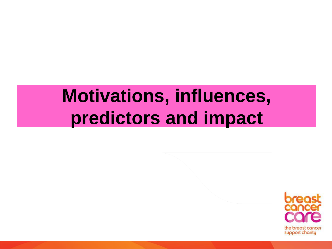## **Motivations, influences, predictors and impact**

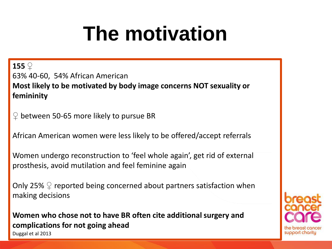# **The motivation**

**155** ♀ 63% 40-60, 54% African American **Most likely to be motivated by body image concerns NOT sexuality or femininity**

 $\heartsuit$  between 50-65 more likely to pursue BR

African American women were less likely to be offered/accept referrals

Women undergo reconstruction to 'feel whole again', get rid of external prosthesis, avoid mutilation and feel feminine again

Only 25%  $\mathcal{Q}$  reported being concerned about partners satisfaction when making decisions

**Women who chose not to have BR often cite additional surgery and complications for not going ahead** Duggal et al 2013

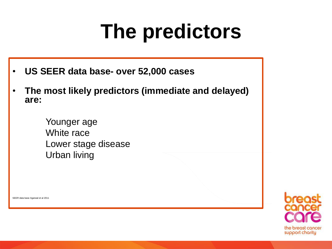# **The predictors**

- **US SEER data base- over 52,000 cases**
- **The most likely predictors (immediate and delayed) are:**

Younger age White race Lower stage disease Urban living

SEER data base Agarwal et al 2011

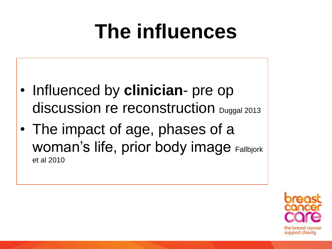# **The influences**

- Influenced by **clinician** pre op discussion re reconstruction Duggal 2013
- The impact of age, phases of a Woman's life, prior body image Fallbjork et al 2010

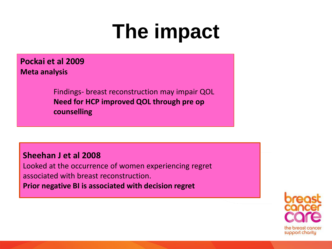# **The impact**

**Pockai et al 2009 Meta analysis**

> Findings- breast reconstruction may impair QOL **Need for HCP improved QOL through pre op counselling**

#### **Sheehan J et al 2008**

Looked at the occurrence of women experiencing regret associated with breast reconstruction. **Prior negative BI is associated with decision regret**

> he breast cancer support charity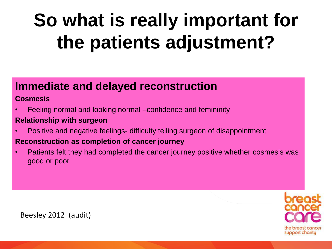# **So what is really important for the patients adjustment?**

#### **Immediate and delayed reconstruction**

#### **Cosmesis**

• Feeling normal and looking normal –confidence and femininity

#### **Relationship with surgeon**

• Positive and negative feelings- difficulty telling surgeon of disappointment

#### **Reconstruction as completion of cancer journey**

• Patients felt they had completed the cancer journey positive whether cosmesis was good or poor



Beesley 2012 (audit)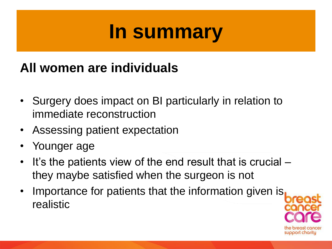## **In summary**

### **All women are individuals**

- Surgery does impact on BI particularly in relation to immediate reconstruction
- Assessing patient expectation
- Younger age
- It's the patients view of the end result that is crucial they maybe satisfied when the surgeon is not
- Importance for patients that the information given is realistic

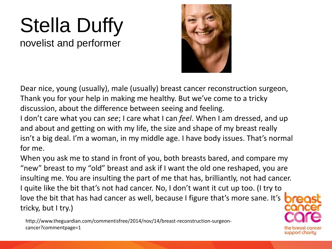# Stella Duffy

novelist and performer



support charity

Dear nice, young (usually), male (usually) breast cancer reconstruction surgeon, Thank you for your help in making me healthy. But we've come to a tricky discussion, about the difference between seeing and feeling.

I don't care what you can *see*; I care what I can *feel*. When I am dressed, and up and about and getting on with my life, the size and shape of my breast really isn't a big deal. I'm a woman, in my middle age. I have body issues. That's normal for me.

When you ask me to stand in front of you, both breasts bared, and compare my "new" breast to my "old" breast and ask if I want the old one reshaped, you are insulting me. You are insulting the part of me that has, brilliantly, not had cancer. I quite like the bit that's not had cancer. No, I don't want it cut up too. (I try to love the bit that has had cancer as well, because I figure that's more sane. It's tricky, but I try.)

http://www.theguardian.com/commentisfree/2014/nov/14/breast-reconstruction-surgeoncancer?commentpage=1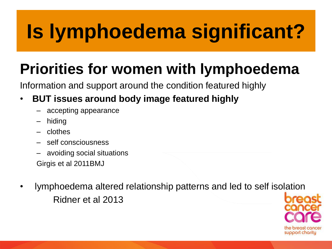# **Is lymphoedema significant?**

### **Priorities for women with lymphoedema**

Information and support around the condition featured highly

#### • **BUT issues around body image featured highly**

- accepting appearance
- hiding
- clothes
- self consciousness
- avoiding social situations Girgis et al 2011BMJ
- lymphoedema altered relationship patterns and led to self isolation Ridner et al 2013

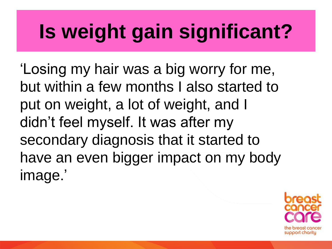# **Is weight gain significant?**

'Losing my hair was a big worry for me, but within a few months I also started to put on weight, a lot of weight, and I didn't feel myself. It was after my secondary diagnosis that it started to have an even bigger impact on my body image.'

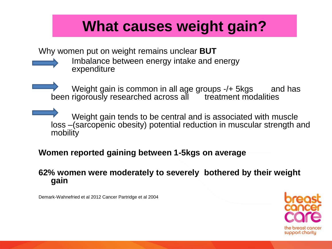### **What causes weight gain?**

Why women put on weight remains unclear **BUT**



Imbalance between energy intake and energy expenditure

Weight gain is common in all age groups -/+ 5kgs and has been rigorously researched across all <sup>treatment</sup> modalities

Weight gain tends to be central and is associated with muscle loss –(sarcopenic obesity) potential reduction in muscular strength and mobility

#### **Women reported gaining between 1-5kgs on average**

#### **62% women were moderately to severely bothered by their weight gain**

Demark-Wahnefried et al 2012 Cancer Partridge et al 2004

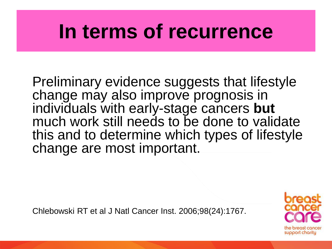## **In terms of recurrence**

Preliminary evidence suggests that lifestyle change may also improve prognosis in individuals with early-stage cancers **but** much work still needs to be done to validate this and to determine which types of lifestyle change are most important.

Chlebowski RT et al J Natl Cancer Inst. 2006;98(24):1767.

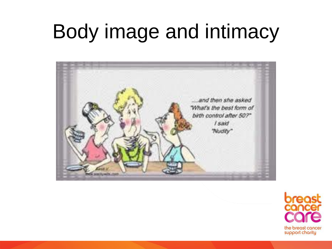# Body image and intimacy



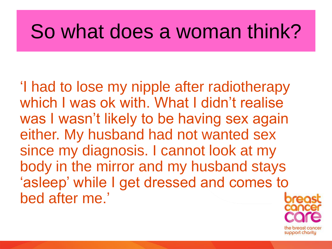## So what does a woman think?

'I had to lose my nipple after radiotherapy which I was ok with. What I didn't realise was I wasn't likely to be having sex again either. My husband had not wanted sex since my diagnosis. I cannot look at my body in the mirror and my husband stays 'asleep' while I get dressed and comes to bed after me.'

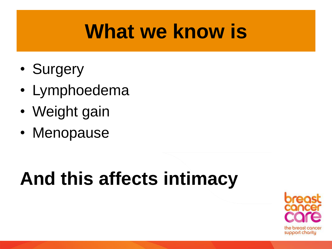## **What we know is**

- Surgery
- Lymphoedema
- Weight gain
- Menopause

## **And this affects intimacy**

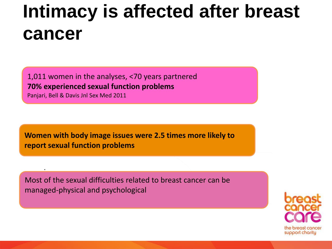## **Intimacy is affected after breast cancer**

1,011 women in the analyses, <70 years partnered **70% experienced sexual function problems**  Panjari, Bell & Davis Jnl Sex Med 2011

.

**Women with body image issues were 2.5 times more likely to report sexual function problems** 

Most of the sexual difficulties related to breast cancer can be managed-physical and psychological

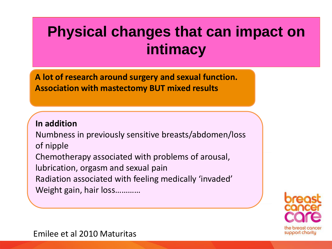### **Physical changes that can impact on intimacy**

**A lot of research around surgery and sexual function. Association with mastectomy BUT mixed results**

#### **In addition**

Numbness in previously sensitive breasts/abdomen/loss of nipple Chemotherapy associated with problems of arousal, lubrication, orgasm and sexual pain Radiation associated with feeling medically 'invaded' Weight gain, hair loss…………



Emilee et al 2010 Maturitas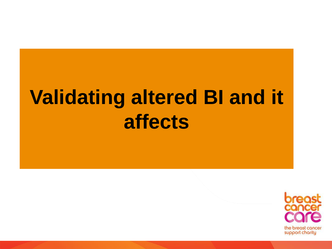# **Validating altered BI and it affects**

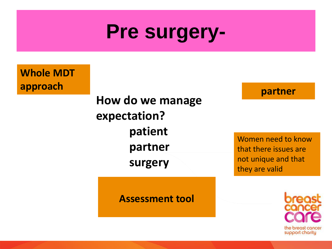## **Pre surgery-**

**Whole MDT** 

**How do we manage expectation? patient partner surgery approach partner**

**Assessment tool**

Women need to know that there issues are not unique and that they are valid

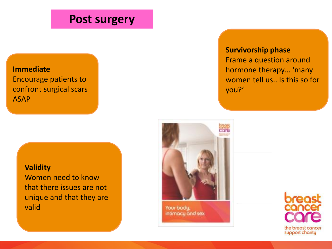#### **Post surgery**

#### **Immediate** Encourage patients to confront surgical scars ASAP

#### **Validity** Women need to know that there issues are not unique and that they are valid

#### **Survivorship phase**

Frame a question around hormone therapy… 'many women tell us.. Is this so for you?'



Your body. intimacy and sex

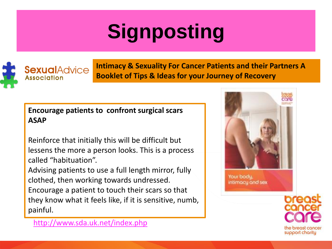# **Signposting**

**SexualAdvice Association** 

**Intimacy & Sexuality For Cancer Patients and their Partners A Booklet of Tips & Ideas for your Journey of Recovery**

#### **Encourage patients to confront surgical scars ASAP**

Reinforce that initially this will be difficult but lessens the more a person looks. This is a process called "habituation".

Advising patients to use a full length mirror, fully clothed, then working towards undressed. Encourage a patient to touch their scars so that they know what it feels like, if it is sensitive, numb, painful.



Your body. intimacy and sex



he breast cancer support charity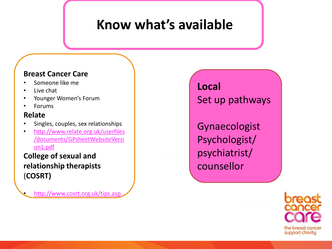### **Know what's available**

#### **Breast Cancer Care**

- Someone like me
- Live chat
- Younger Women's Forum
- Forums

#### **Relate**

- Singles, couples, sex relationships
- [http://www.relate.org.uk/userfiles](http://www.relate.org.uk/userfiles/documents/GPsheetWebsiteVersion1.pdf) [/documents/GPsheetWebsiteVersi](http://www.relate.org.uk/userfiles/documents/GPsheetWebsiteVersion1.pdf) [on1.pdf](http://www.relate.org.uk/userfiles/documents/GPsheetWebsiteVersion1.pdf)

**College of sexual and relationship therapists**  (**COSRT)**

• <http://www.cosrt.org.uk/tips.asp>

**Local** Set up pathways

Gynaecologist Psychologist/ psychiatrist/ counsellor

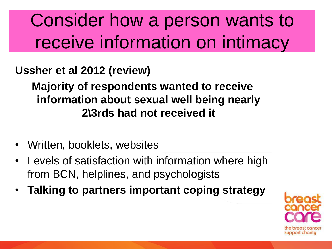## Consider how a person wants to receive information on intimacy

### **Ussher et al 2012 (review)**

**Majority of respondents wanted to receive information about sexual well being nearly 2\3rds had not received it**

- Written, booklets, websites
- Levels of satisfaction with information where high from BCN, helplines, and psychologists
- **Talking to partners important coping strategy**

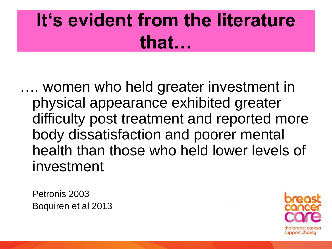## **It's evident from the literature that…**

…. women who held greater investment in physical appearance exhibited greater difficulty post treatment and reported more body dissatisfaction and poorer mental health than those who held lower levels of investment

Petronis 2003 Boquiren et al 2013

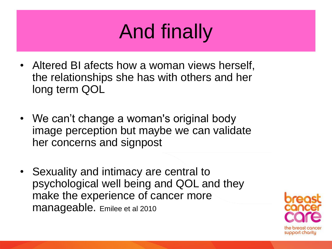# And finally

- Altered BI afects how a woman views herself, the relationships she has with others and her long term QOL
- We can't change a woman's original body image perception but maybe we can validate her concerns and signpost
- Sexuality and intimacy are central to psychological well being and QOL and they make the experience of cancer more manageable. Emilee et al 2010